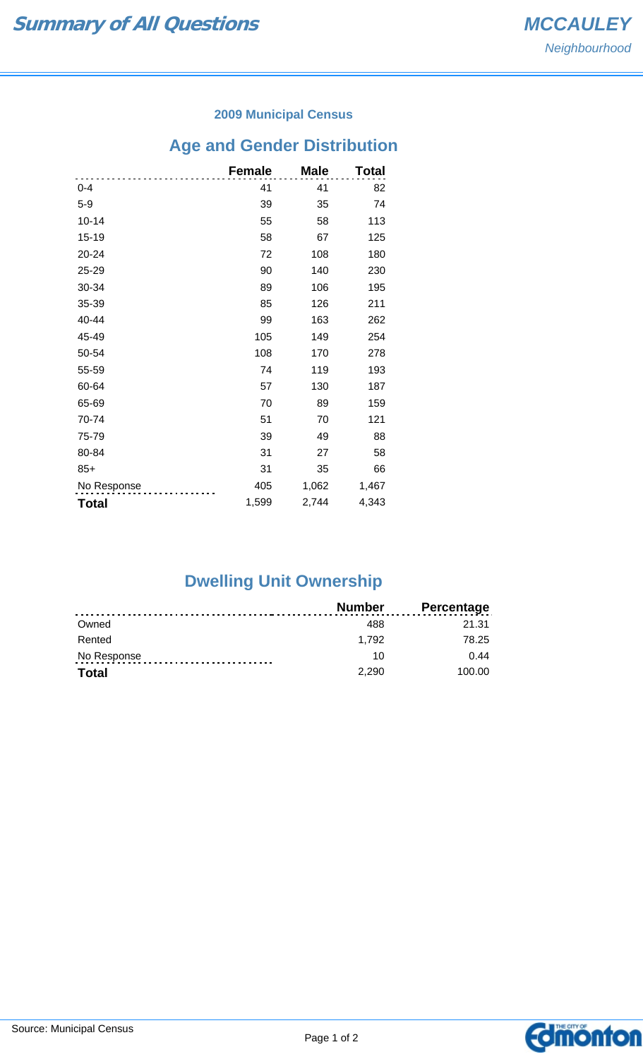### **2009 Municipal Census**

## **Age and Gender Distribution**

|              | <b>Female</b> | <b>Male</b> | Total |
|--------------|---------------|-------------|-------|
| $0 - 4$      | 41            | 41          | 82    |
| $5-9$        | 39            | 35          | 74    |
| $10 - 14$    | 55            | 58          | 113   |
| 15-19        | 58            | 67          | 125   |
| 20-24        | 72            | 108         | 180   |
| 25-29        | 90            | 140         | 230   |
| 30-34        | 89            | 106         | 195   |
| 35-39        | 85            | 126         | 211   |
| 40-44        | 99            | 163         | 262   |
| 45-49        | 105           | 149         | 254   |
| 50-54        | 108           | 170         | 278   |
| 55-59        | 74            | 119         | 193   |
| 60-64        | 57            | 130         | 187   |
| 65-69        | 70            | 89          | 159   |
| 70-74        | 51            | 70          | 121   |
| 75-79        | 39            | 49          | 88    |
| 80-84        | 31            | 27          | 58    |
| $85+$        | 31            | 35          | 66    |
| No Response  | 405           | 1,062       | 1,467 |
| <b>Total</b> | 1,599         | 2,744       | 4,343 |

# **Dwelling Unit Ownership**

|              | <b>Number</b> | Percentage |
|--------------|---------------|------------|
| Owned        | 488           | 21.31      |
| Rented       | 1.792         | 78.25      |
| No Response  | 10            | 0.44       |
| <b>Total</b> | 2.290         | 100.00     |